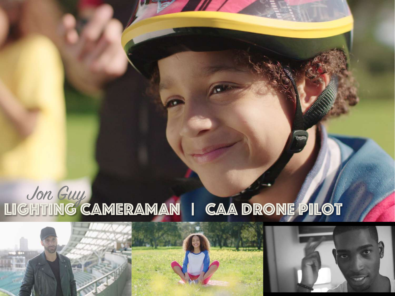# Jon Guy Lighting Cameraman | caa drone pilot



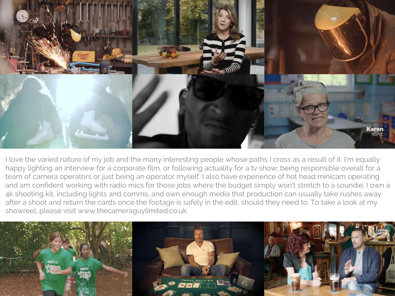

I love the varied nature of my job and the many interesting people whose paths I cross as a result of it. I'm equally happy lighting an interview for a corporate film, or following actuality for a tv show; being responsible overall for a team of camera operators or just being an operator myself. I also have experience of hot head minicam operating and am confident working with radio mics for those jobs where the budget simply won't stretch to a soundie. I own a 4k shooting kit, including lights and comms, and own enough media that production can usually take rushes away after a shoot and return the cards once the footage is safely in the edit, should they need to. To take a look at my showreel, please visit www.thecameraguylimited.co.uk

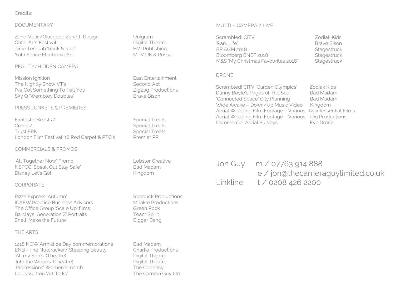## Credits:

#### DOCUMENTARY

Zane Malic/Giuseppe Zanotti Design Unigram Qatar Arts Festival **Digital Theatre** Tinie Tempah 'Rock & Rap' EMI Publishing Yota Space Electronic Art MTV UK & Russia

#### REALITY/HIDDEN CAMERA

Mission Ignition **East Entertainment** The Nightly Show VT's Second Act I've Got Something To Tell You ZigZag Productions Sky Q 'Wembley Doubles' Brave Bison

#### PRESS JUNKETS & PREMIERES

Fantastic Beasts 2 Special Treats Creed 2 Special Treats Trust EPK Special Treats London Film Festival '18 Red Carpet & PTC's Premier PR

#### COMMERCIALS & PROMOS

'All Together Now' Promo Lobster Creative NSPCC 'Speak Out Stay Safe' Bad Madam Disney Let's Go! Kingdom

#### CORPORATE

Pizza Express 'Autumn' and the Common Roebuck Productions ICAEW Practice Business Advisors Mirakle Productions The Office Group 'Scale Up' films Green Rock Barclays 'Generation Z' Portraits Team Spirit Shell 'Make the Future' Bigger Bang

## THE ARTS

1418 NOW Armistice Day commemorations Bad Madam ENB - The Nutcracker/ Sleeping Beauty Charlie Productions 'All my Son's' (Theatre) and the Digital Theatre 'Into the Woods' (Theatre) and the Digital Theatre 'Processions' Women's march The Cogency Louis Vuitton 'Art Talks' The Camera Guy Ltd

#### MULTI – CAMERA / LIVE

Scrambled! CITV Zodiak Kids 'Park Life' Brave Bison BP AGM 2018 Stagestruck Bloomberg BNEF 2018 Stagestruck M&S 'My Christmas Favourites 2018' Stagestruck

#### DRONE

Scrambled! CITV 'Garden Olympics' Zodiak Kids Danny Boyle's Pages of The Sea Bad Madam 'Connected Space' City Planning Bad Madam Wide Awake – Down/Up Music Video Kingdom Aerial Wedding Film Footage – Various Quintessential Films Aerial Wedding Film Footage – Various iDo Productions Commercial Aerial Surveys Eye Drone

Jon Guy m / 07763 914 888 e / jon@thecameraguylimited.co.uk Linkline t / 0208 426 2200